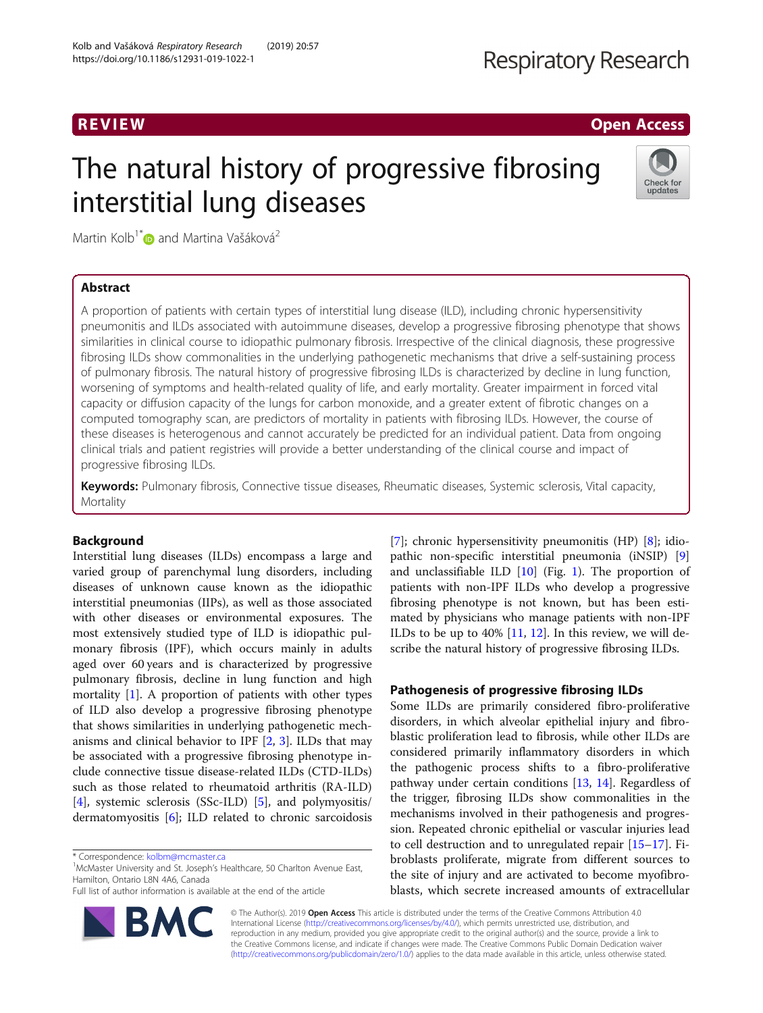## R EVI EW Open Access

# The natural history of progressive fibrosing interstitial lung diseases



Martin Kolb<sup>1\*</sup> $\bullet$  and Martina Vašáková<sup>2</sup>

## Abstract

A proportion of patients with certain types of interstitial lung disease (ILD), including chronic hypersensitivity pneumonitis and ILDs associated with autoimmune diseases, develop a progressive fibrosing phenotype that shows similarities in clinical course to idiopathic pulmonary fibrosis. Irrespective of the clinical diagnosis, these progressive fibrosing ILDs show commonalities in the underlying pathogenetic mechanisms that drive a self-sustaining process of pulmonary fibrosis. The natural history of progressive fibrosing ILDs is characterized by decline in lung function, worsening of symptoms and health-related quality of life, and early mortality. Greater impairment in forced vital capacity or diffusion capacity of the lungs for carbon monoxide, and a greater extent of fibrotic changes on a computed tomography scan, are predictors of mortality in patients with fibrosing ILDs. However, the course of these diseases is heterogenous and cannot accurately be predicted for an individual patient. Data from ongoing clinical trials and patient registries will provide a better understanding of the clinical course and impact of progressive fibrosing ILDs.

Keywords: Pulmonary fibrosis, Connective tissue diseases, Rheumatic diseases, Systemic sclerosis, Vital capacity, **Mortality** 

## Background

Interstitial lung diseases (ILDs) encompass a large and varied group of parenchymal lung disorders, including diseases of unknown cause known as the idiopathic interstitial pneumonias (IIPs), as well as those associated with other diseases or environmental exposures. The most extensively studied type of ILD is idiopathic pulmonary fibrosis (IPF), which occurs mainly in adults aged over 60 years and is characterized by progressive pulmonary fibrosis, decline in lung function and high mortality  $[1]$ . A proportion of patients with other types of ILD also develop a progressive fibrosing phenotype that shows similarities in underlying pathogenetic mechanisms and clinical behavior to IPF  $[2, 3]$  $[2, 3]$  $[2, 3]$  $[2, 3]$  $[2, 3]$ . ILDs that may be associated with a progressive fibrosing phenotype include connective tissue disease-related ILDs (CTD-ILDs) such as those related to rheumatoid arthritis (RA-ILD) [[4\]](#page-5-0), systemic sclerosis (SSc-ILD) [\[5](#page-5-0)], and polymyositis/ dermatomyositis [[6\]](#page-5-0); ILD related to chronic sarcoidosis

<sup>1</sup>McMaster University and St. Joseph's Healthcare, 50 Charlton Avenue East, Hamilton, Ontario L8N 4A6, Canada

Full list of author information is available at the end of the article



[[7\]](#page-5-0); chronic hypersensitivity pneumonitis (HP) [\[8](#page-5-0)]; idiopathic non-specific interstitial pneumonia (iNSIP) [\[9](#page-5-0)] and unclassifiable ILD [[10](#page-5-0)] (Fig. [1](#page-1-0)). The proportion of patients with non-IPF ILDs who develop a progressive fibrosing phenotype is not known, but has been estimated by physicians who manage patients with non-IPF ILDs to be up to 40% [\[11,](#page-5-0) [12\]](#page-5-0). In this review, we will describe the natural history of progressive fibrosing ILDs.

## Pathogenesis of progressive fibrosing ILDs

Some ILDs are primarily considered fibro-proliferative disorders, in which alveolar epithelial injury and fibroblastic proliferation lead to fibrosis, while other ILDs are considered primarily inflammatory disorders in which the pathogenic process shifts to a fibro-proliferative pathway under certain conditions  $[13, 14]$  $[13, 14]$  $[13, 14]$  $[13, 14]$ . Regardless of the trigger, fibrosing ILDs show commonalities in the mechanisms involved in their pathogenesis and progression. Repeated chronic epithelial or vascular injuries lead to cell destruction and to unregulated repair [\[15](#page-5-0)–[17\]](#page-5-0). Fibroblasts proliferate, migrate from different sources to the site of injury and are activated to become myofibroblasts, which secrete increased amounts of extracellular

© The Author(s). 2019 **Open Access** This article is distributed under the terms of the Creative Commons Attribution 4.0 International License [\(http://creativecommons.org/licenses/by/4.0/](http://creativecommons.org/licenses/by/4.0/)), which permits unrestricted use, distribution, and reproduction in any medium, provided you give appropriate credit to the original author(s) and the source, provide a link to the Creative Commons license, and indicate if changes were made. The Creative Commons Public Domain Dedication waiver [\(http://creativecommons.org/publicdomain/zero/1.0/](http://creativecommons.org/publicdomain/zero/1.0/)) applies to the data made available in this article, unless otherwise stated.

<sup>\*</sup> Correspondence: [kolbm@mcmaster.ca](mailto:kolbm@mcmaster.ca) <sup>1</sup>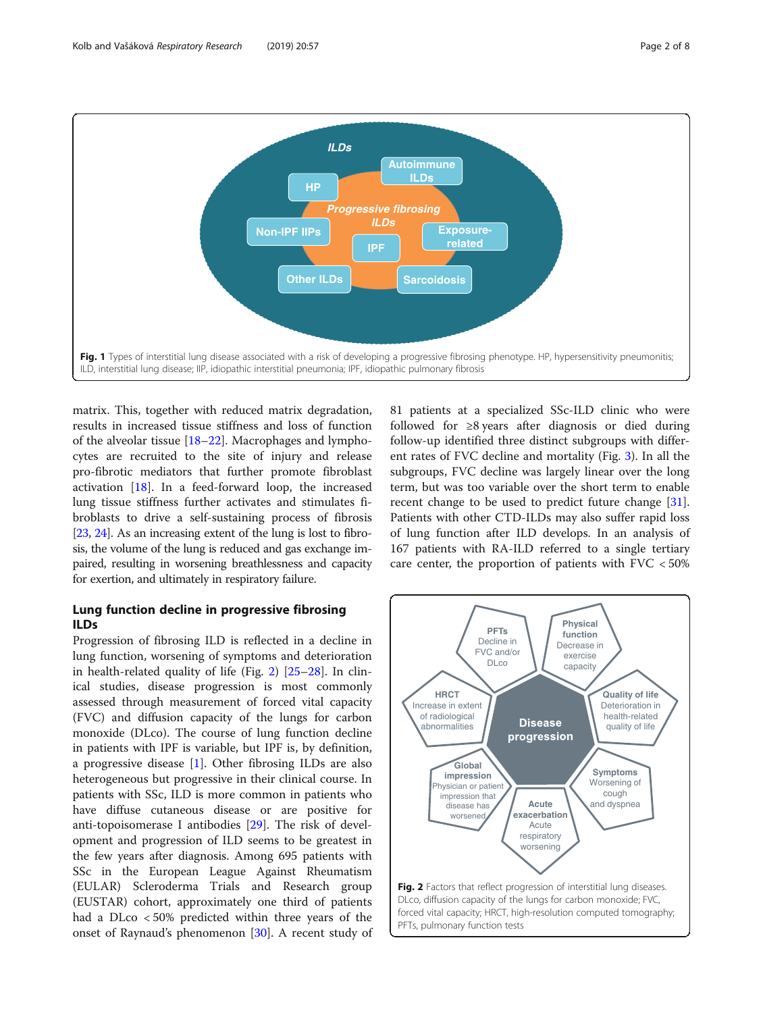<span id="page-1-0"></span>

matrix. This, together with reduced matrix degradation, results in increased tissue stiffness and loss of function of the alveolar tissue [[18](#page-5-0)–[22\]](#page-5-0). Macrophages and lymphocytes are recruited to the site of injury and release pro-fibrotic mediators that further promote fibroblast activation [\[18\]](#page-5-0). In a feed-forward loop, the increased lung tissue stiffness further activates and stimulates fibroblasts to drive a self-sustaining process of fibrosis [[23](#page-5-0), [24](#page-5-0)]. As an increasing extent of the lung is lost to fibrosis, the volume of the lung is reduced and gas exchange impaired, resulting in worsening breathlessness and capacity for exertion, and ultimately in respiratory failure.

## Lung function decline in progressive fibrosing ILDs

Progression of fibrosing ILD is reflected in a decline in lung function, worsening of symptoms and deterioration in health-related quality of life (Fig. 2) [[25](#page-5-0)–[28](#page-5-0)]. In clinical studies, disease progression is most commonly assessed through measurement of forced vital capacity (FVC) and diffusion capacity of the lungs for carbon monoxide (DLco). The course of lung function decline in patients with IPF is variable, but IPF is, by definition, a progressive disease [\[1](#page-5-0)]. Other fibrosing ILDs are also heterogeneous but progressive in their clinical course. In patients with SSc, ILD is more common in patients who have diffuse cutaneous disease or are positive for anti-topoisomerase I antibodies [\[29](#page-5-0)]. The risk of development and progression of ILD seems to be greatest in the few years after diagnosis. Among 695 patients with SSc in the European League Against Rheumatism (EULAR) Scleroderma Trials and Research group (EUSTAR) cohort, approximately one third of patients had a DLco < 50% predicted within three years of the onset of Raynaud's phenomenon [[30](#page-5-0)]. A recent study of 81 patients at a specialized SSc-ILD clinic who were followed for ≥8 years after diagnosis or died during follow-up identified three distinct subgroups with different rates of FVC decline and mortality (Fig. [3\)](#page-2-0). In all the subgroups, FVC decline was largely linear over the long term, but was too variable over the short term to enable recent change to be used to predict future change [\[31](#page-5-0)]. Patients with other CTD-ILDs may also suffer rapid loss of lung function after ILD develops. In an analysis of 167 patients with RA-ILD referred to a single tertiary care center, the proportion of patients with  $FVC < 50\%$ 

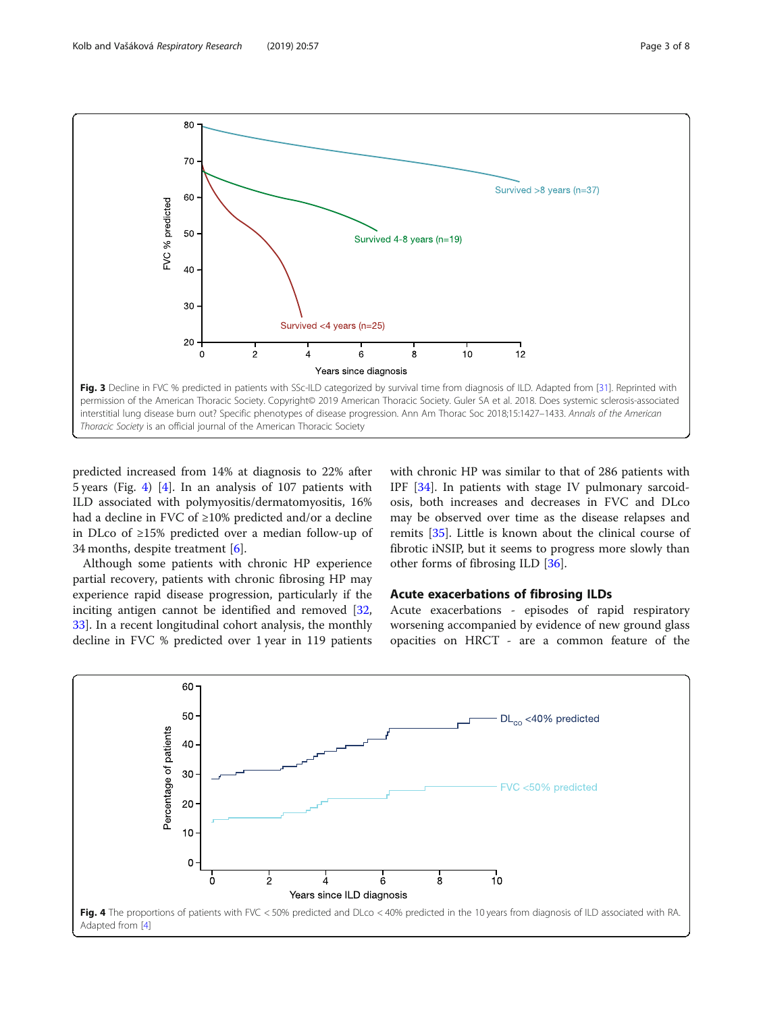<span id="page-2-0"></span>

predicted increased from 14% at diagnosis to 22% after 5 years (Fig. 4) [[4](#page-5-0)]. In an analysis of 107 patients with ILD associated with polymyositis/dermatomyositis, 16% had a decline in FVC of ≥10% predicted and/or a decline in DLco of ≥15% predicted over a median follow-up of 34 months, despite treatment [\[6](#page-5-0)].

Although some patients with chronic HP experience partial recovery, patients with chronic fibrosing HP may experience rapid disease progression, particularly if the inciting antigen cannot be identified and removed [[32](#page-5-0), [33\]](#page-5-0). In a recent longitudinal cohort analysis, the monthly decline in FVC % predicted over 1 year in 119 patients

with chronic HP was similar to that of 286 patients with IPF [\[34](#page-6-0)]. In patients with stage IV pulmonary sarcoidosis, both increases and decreases in FVC and DLco may be observed over time as the disease relapses and remits [[35](#page-6-0)]. Little is known about the clinical course of fibrotic iNSIP, but it seems to progress more slowly than other forms of fibrosing ILD [[36](#page-6-0)].

## Acute exacerbations of fibrosing ILDs

Acute exacerbations - episodes of rapid respiratory worsening accompanied by evidence of new ground glass opacities on HRCT - are a common feature of the

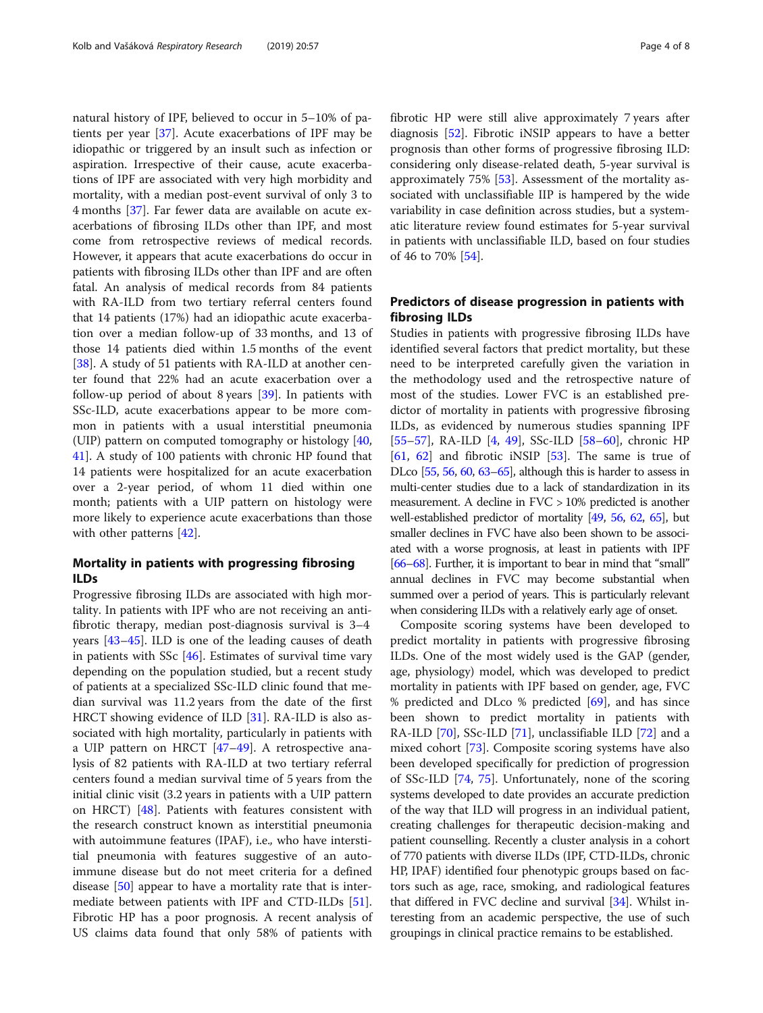natural history of IPF, believed to occur in 5–10% of patients per year [\[37](#page-6-0)]. Acute exacerbations of IPF may be idiopathic or triggered by an insult such as infection or aspiration. Irrespective of their cause, acute exacerbations of IPF are associated with very high morbidity and mortality, with a median post-event survival of only 3 to 4 months [\[37](#page-6-0)]. Far fewer data are available on acute exacerbations of fibrosing ILDs other than IPF, and most come from retrospective reviews of medical records. However, it appears that acute exacerbations do occur in patients with fibrosing ILDs other than IPF and are often fatal. An analysis of medical records from 84 patients with RA-ILD from two tertiary referral centers found that 14 patients (17%) had an idiopathic acute exacerbation over a median follow-up of 33 months, and 13 of those 14 patients died within 1.5 months of the event [[38\]](#page-6-0). A study of 51 patients with RA-ILD at another center found that 22% had an acute exacerbation over a follow-up period of about 8 years [\[39](#page-6-0)]. In patients with SSc-ILD, acute exacerbations appear to be more common in patients with a usual interstitial pneumonia (UIP) pattern on computed tomography or histology [[40](#page-6-0), [41\]](#page-6-0). A study of 100 patients with chronic HP found that 14 patients were hospitalized for an acute exacerbation over a 2-year period, of whom 11 died within one month; patients with a UIP pattern on histology were more likely to experience acute exacerbations than those with other patterns [[42](#page-6-0)].

## Mortality in patients with progressing fibrosing ILDs

Progressive fibrosing ILDs are associated with high mortality. In patients with IPF who are not receiving an antifibrotic therapy, median post-diagnosis survival is 3–4 years [\[43](#page-6-0)–[45\]](#page-6-0). ILD is one of the leading causes of death in patients with SSc [\[46](#page-6-0)]. Estimates of survival time vary depending on the population studied, but a recent study of patients at a specialized SSc-ILD clinic found that median survival was 11.2 years from the date of the first HRCT showing evidence of ILD [\[31](#page-5-0)]. RA-ILD is also associated with high mortality, particularly in patients with a UIP pattern on HRCT [\[47](#page-6-0)–[49\]](#page-6-0). A retrospective analysis of 82 patients with RA-ILD at two tertiary referral centers found a median survival time of 5 years from the initial clinic visit (3.2 years in patients with a UIP pattern on HRCT)  $[48]$ . Patients with features consistent with the research construct known as interstitial pneumonia with autoimmune features (IPAF), i.e., who have interstitial pneumonia with features suggestive of an autoimmune disease but do not meet criteria for a defined disease [[50\]](#page-6-0) appear to have a mortality rate that is intermediate between patients with IPF and CTD-ILDs [\[51](#page-6-0)]. Fibrotic HP has a poor prognosis. A recent analysis of US claims data found that only 58% of patients with fibrotic HP were still alive approximately 7 years after diagnosis [[52\]](#page-6-0). Fibrotic iNSIP appears to have a better prognosis than other forms of progressive fibrosing ILD: considering only disease-related death, 5-year survival is approximately 75% [\[53](#page-6-0)]. Assessment of the mortality associated with unclassifiable IIP is hampered by the wide variability in case definition across studies, but a systematic literature review found estimates for 5-year survival in patients with unclassifiable ILD, based on four studies of 46 to 70% [\[54](#page-6-0)].

## Predictors of disease progression in patients with fibrosing ILDs

Studies in patients with progressive fibrosing ILDs have identified several factors that predict mortality, but these need to be interpreted carefully given the variation in the methodology used and the retrospective nature of most of the studies. Lower FVC is an established predictor of mortality in patients with progressive fibrosing ILDs, as evidenced by numerous studies spanning IPF [[55](#page-6-0)–[57](#page-6-0)], RA-ILD [\[4](#page-5-0), [49](#page-6-0)], SSc-ILD [\[58](#page-6-0)–[60\]](#page-6-0), chronic HP  $[61, 62]$  $[61, 62]$  $[61, 62]$  $[61, 62]$  and fibrotic iNSIP  $[53]$  $[53]$ . The same is true of DLco [[55,](#page-6-0) [56,](#page-6-0) [60,](#page-6-0) [63](#page-6-0)–[65\]](#page-6-0), although this is harder to assess in multi-center studies due to a lack of standardization in its measurement. A decline in FVC > 10% predicted is another well-established predictor of mortality [\[49](#page-6-0), [56](#page-6-0), [62,](#page-6-0) [65\]](#page-6-0), but smaller declines in FVC have also been shown to be associated with a worse prognosis, at least in patients with IPF [[66](#page-6-0)–[68\]](#page-6-0). Further, it is important to bear in mind that "small" annual declines in FVC may become substantial when summed over a period of years. This is particularly relevant when considering ILDs with a relatively early age of onset.

Composite scoring systems have been developed to predict mortality in patients with progressive fibrosing ILDs. One of the most widely used is the GAP (gender, age, physiology) model, which was developed to predict mortality in patients with IPF based on gender, age, FVC % predicted and DLco % predicted [\[69](#page-6-0)], and has since been shown to predict mortality in patients with RA-ILD [[70\]](#page-6-0), SSc-ILD [\[71](#page-6-0)], unclassifiable ILD [[72\]](#page-6-0) and a mixed cohort [[73](#page-6-0)]. Composite scoring systems have also been developed specifically for prediction of progression of SSc-ILD [[74,](#page-6-0) [75](#page-6-0)]. Unfortunately, none of the scoring systems developed to date provides an accurate prediction of the way that ILD will progress in an individual patient, creating challenges for therapeutic decision-making and patient counselling. Recently a cluster analysis in a cohort of 770 patients with diverse ILDs (IPF, CTD-ILDs, chronic HP, IPAF) identified four phenotypic groups based on factors such as age, race, smoking, and radiological features that differed in FVC decline and survival [[34](#page-6-0)]. Whilst interesting from an academic perspective, the use of such groupings in clinical practice remains to be established.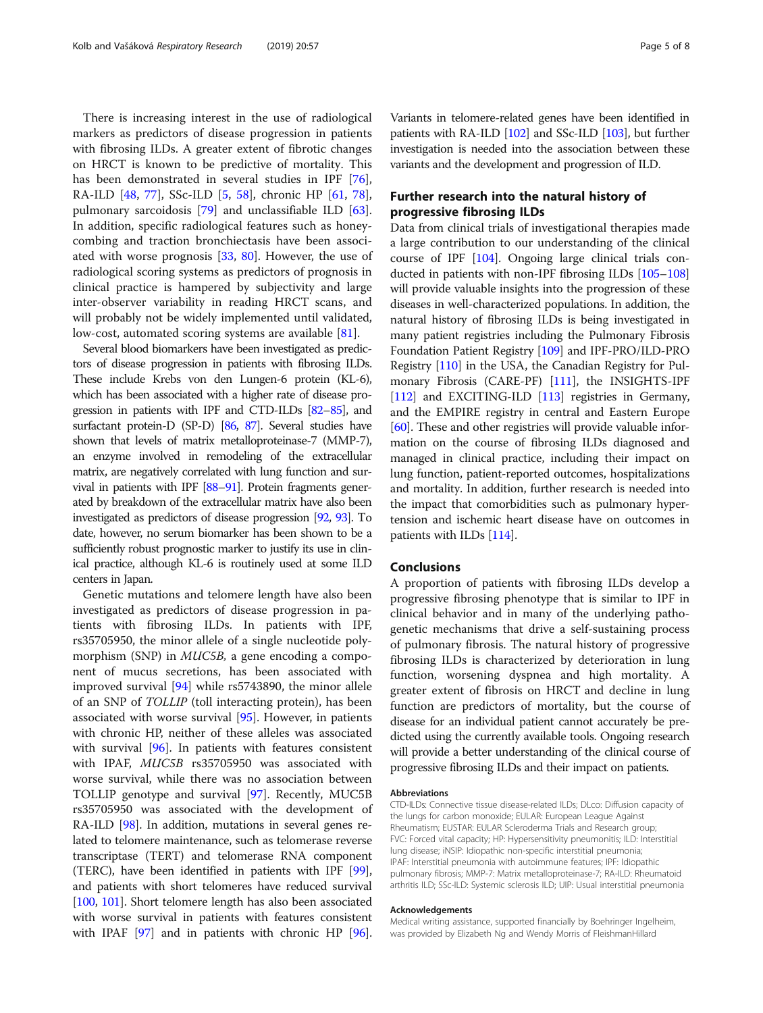There is increasing interest in the use of radiological markers as predictors of disease progression in patients with fibrosing ILDs. A greater extent of fibrotic changes on HRCT is known to be predictive of mortality. This has been demonstrated in several studies in IPF [\[76](#page-6-0)], RA-ILD [[48,](#page-6-0) [77\]](#page-6-0), SSc-ILD [\[5](#page-5-0), [58](#page-6-0)], chronic HP [\[61](#page-6-0), [78](#page-6-0)], pulmonary sarcoidosis [\[79\]](#page-7-0) and unclassifiable ILD [\[63](#page-6-0)]. In addition, specific radiological features such as honeycombing and traction bronchiectasis have been associated with worse prognosis [[33,](#page-5-0) [80](#page-7-0)]. However, the use of radiological scoring systems as predictors of prognosis in clinical practice is hampered by subjectivity and large inter-observer variability in reading HRCT scans, and will probably not be widely implemented until validated, low-cost, automated scoring systems are available [\[81\]](#page-7-0).

Several blood biomarkers have been investigated as predictors of disease progression in patients with fibrosing ILDs. These include Krebs von den Lungen-6 protein (KL-6), which has been associated with a higher rate of disease progression in patients with IPF and CTD-ILDs [\[82](#page-7-0)–[85](#page-7-0)], and surfactant protein-D (SP-D) [\[86](#page-7-0), [87](#page-7-0)]. Several studies have shown that levels of matrix metalloproteinase-7 (MMP-7), an enzyme involved in remodeling of the extracellular matrix, are negatively correlated with lung function and survival in patients with IPF [\[88](#page-7-0)–[91](#page-7-0)]. Protein fragments generated by breakdown of the extracellular matrix have also been investigated as predictors of disease progression [[92,](#page-7-0) [93](#page-7-0)]. To date, however, no serum biomarker has been shown to be a sufficiently robust prognostic marker to justify its use in clinical practice, although KL-6 is routinely used at some ILD centers in Japan.

Genetic mutations and telomere length have also been investigated as predictors of disease progression in patients with fibrosing ILDs. In patients with IPF, rs35705950, the minor allele of a single nucleotide polymorphism (SNP) in MUC5B, a gene encoding a component of mucus secretions, has been associated with improved survival [[94\]](#page-7-0) while rs5743890, the minor allele of an SNP of TOLLIP (toll interacting protein), has been associated with worse survival [\[95](#page-7-0)]. However, in patients with chronic HP, neither of these alleles was associated with survival [\[96\]](#page-7-0). In patients with features consistent with IPAF, MUC5B rs35705950 was associated with worse survival, while there was no association between TOLLIP genotype and survival [[97](#page-7-0)]. Recently, MUC5B rs35705950 was associated with the development of RA-ILD [\[98\]](#page-7-0). In addition, mutations in several genes related to telomere maintenance, such as telomerase reverse transcriptase (TERT) and telomerase RNA component (TERC), have been identified in patients with IPF [[99](#page-7-0)], and patients with short telomeres have reduced survival [[100](#page-7-0), [101\]](#page-7-0). Short telomere length has also been associated with worse survival in patients with features consistent with IPAF [[97\]](#page-7-0) and in patients with chronic HP [[96](#page-7-0)]. Variants in telomere-related genes have been identified in patients with RA-ILD [[102\]](#page-7-0) and SSc-ILD [\[103](#page-7-0)], but further investigation is needed into the association between these variants and the development and progression of ILD.

## Further research into the natural history of progressive fibrosing ILDs

Data from clinical trials of investigational therapies made a large contribution to our understanding of the clinical course of IPF [[104](#page-7-0)]. Ongoing large clinical trials conducted in patients with non-IPF fibrosing ILDs [[105](#page-7-0)–[108](#page-7-0)] will provide valuable insights into the progression of these diseases in well-characterized populations. In addition, the natural history of fibrosing ILDs is being investigated in many patient registries including the Pulmonary Fibrosis Foundation Patient Registry [[109](#page-7-0)] and IPF-PRO/ILD-PRO Registry [\[110\]](#page-7-0) in the USA, the Canadian Registry for Pulmonary Fibrosis (CARE-PF) [\[111\]](#page-7-0), the INSIGHTS-IPF [[112](#page-7-0)] and EXCITING-ILD [\[113\]](#page-7-0) registries in Germany, and the EMPIRE registry in central and Eastern Europe [[60](#page-6-0)]. These and other registries will provide valuable information on the course of fibrosing ILDs diagnosed and managed in clinical practice, including their impact on lung function, patient-reported outcomes, hospitalizations and mortality. In addition, further research is needed into the impact that comorbidities such as pulmonary hypertension and ischemic heart disease have on outcomes in patients with ILDs [\[114\]](#page-7-0).

### Conclusions

A proportion of patients with fibrosing ILDs develop a progressive fibrosing phenotype that is similar to IPF in clinical behavior and in many of the underlying pathogenetic mechanisms that drive a self-sustaining process of pulmonary fibrosis. The natural history of progressive fibrosing ILDs is characterized by deterioration in lung function, worsening dyspnea and high mortality. A greater extent of fibrosis on HRCT and decline in lung function are predictors of mortality, but the course of disease for an individual patient cannot accurately be predicted using the currently available tools. Ongoing research will provide a better understanding of the clinical course of progressive fibrosing ILDs and their impact on patients.

#### Abbreviations

CTD-ILDs: Connective tissue disease-related ILDs; DLco: Diffusion capacity of the lungs for carbon monoxide; EULAR: European League Against Rheumatism; EUSTAR: EULAR Scleroderma Trials and Research group; FVC: Forced vital capacity; HP: Hypersensitivity pneumonitis; ILD: Interstitial lung disease; iNSIP: Idiopathic non-specific interstitial pneumonia; IPAF: Interstitial pneumonia with autoimmune features; IPF: Idiopathic pulmonary fibrosis; MMP-7: Matrix metalloproteinase-7; RA-ILD: Rheumatoid arthritis ILD; SSc-ILD: Systemic sclerosis ILD; UIP: Usual interstitial pneumonia

#### Acknowledgements

Medical writing assistance, supported financially by Boehringer Ingelheim, was provided by Elizabeth Ng and Wendy Morris of FleishmanHillard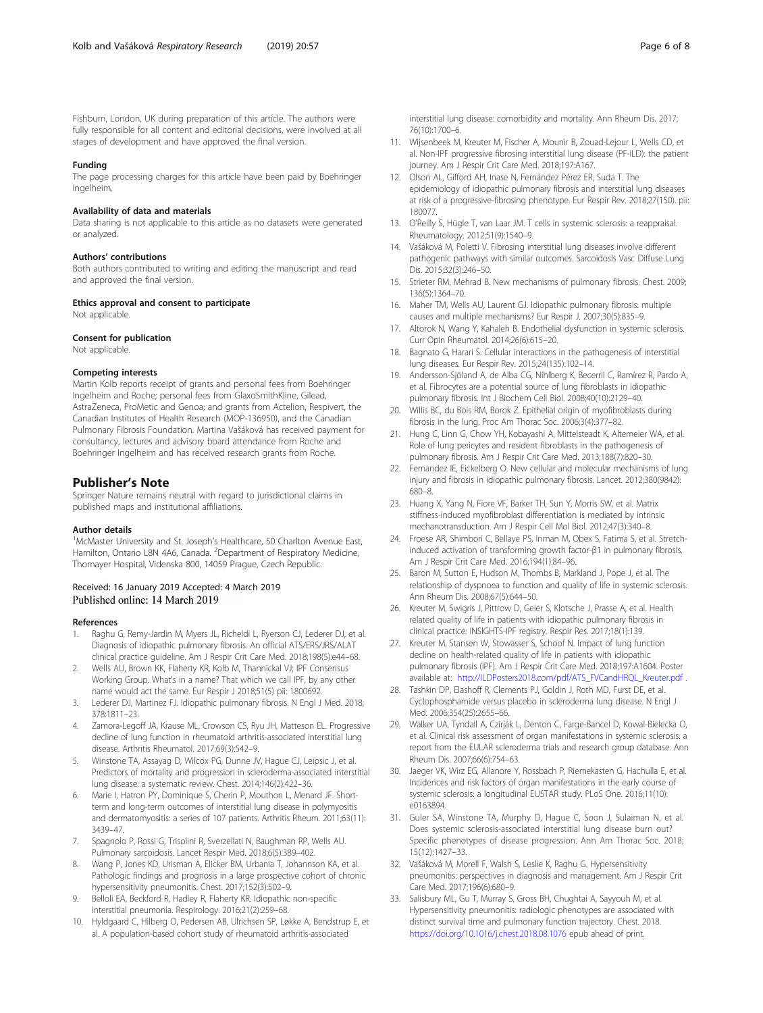<span id="page-5-0"></span>Fishburn, London, UK during preparation of this article. The authors were fully responsible for all content and editorial decisions, were involved at all stages of development and have approved the final version.

#### Funding

The page processing charges for this article have been paid by Boehringer Ingelheim.

#### Availability of data and materials

Data sharing is not applicable to this article as no datasets were generated or analyzed.

#### Authors' contributions

Both authors contributed to writing and editing the manuscript and read and approved the final version.

#### Ethics approval and consent to participate

Not applicable.

#### Consent for publication

Not applicable.

#### Competing interests

Martin Kolb reports receipt of grants and personal fees from Boehringer Ingelheim and Roche; personal fees from GlaxoSmithKline, Gilead, AstraZeneca, ProMetic and Genoa; and grants from Actelion, Respivert, the Canadian Institutes of Health Research (MOP-136950), and the Canadian Pulmonary Fibrosis Foundation. Martina Vašáková has received payment for consultancy, lectures and advisory board attendance from Roche and Boehringer Ingelheim and has received research grants from Roche.

### Publisher's Note

Springer Nature remains neutral with regard to jurisdictional claims in published maps and institutional affiliations.

#### Author details

<sup>1</sup>McMaster University and St. Joseph's Healthcare, 50 Charlton Avenue East, Hamilton, Ontario L8N 4A6, Canada. <sup>2</sup> Department of Respiratory Medicine, Thomayer Hospital, Videnska 800, 14059 Prague, Czech Republic.

## Received: 16 January 2019 Accepted: 4 March 2019<br>Published online: 14 March 2019

#### References

- Raghu G, Remy-Jardin M, Myers JL, Richeldi L, Ryerson CJ, Lederer DJ, et al. Diagnosis of idiopathic pulmonary fibrosis. An official ATS/ERS/JRS/ALAT clinical practice guideline. Am J Respir Crit Care Med. 2018;198(5):e44–68.
- 2. Wells AU, Brown KK, Flaherty KR, Kolb M, Thannickal VJ; IPF Consensus Working Group. What's in a name? That which we call IPF, by any other name would act the same. Eur Respir J 2018;51(5) pii: 1800692.
- 3. Lederer DJ, Martinez FJ. Idiopathic pulmonary fibrosis. N Engl J Med. 2018; 378:1811–23.
- Zamora-Legoff JA, Krause ML, Crowson CS, Ryu JH, Matteson EL. Progressive decline of lung function in rheumatoid arthritis-associated interstitial lung disease. Arthritis Rheumatol. 2017;69(3):542–9.
- 5. Winstone TA, Assayag D, Wilcox PG, Dunne JV, Hague CJ, Leipsic J, et al. Predictors of mortality and progression in scleroderma-associated interstitial lung disease: a systematic review. Chest. 2014;146(2):422–36.
- 6. Marie I, Hatron PY, Dominique S, Cherin P, Mouthon L, Menard JF. Shortterm and long-term outcomes of interstitial lung disease in polymyositis and dermatomyositis: a series of 107 patients. Arthritis Rheum. 2011;63(11): 3439–47.
- 7. Spagnolo P, Rossi G, Trisolini R, Sverzellati N, Baughman RP, Wells AU. Pulmonary sarcoidosis. Lancet Respir Med. 2018;6(5):389–402.
- 8. Wang P, Jones KD, Urisman A, Elicker BM, Urbania T, Johannson KA, et al. Pathologic findings and prognosis in a large prospective cohort of chronic hypersensitivity pneumonitis. Chest. 2017;152(3):502–9.
- 9. Belloli EA, Beckford R, Hadley R, Flaherty KR. Idiopathic non-specific interstitial pneumonia. Respirology. 2016;21(2):259–68.
- 10. Hyldgaard C, Hilberg O, Pedersen AB, Ulrichsen SP, Løkke A, Bendstrup E, et al. A population-based cohort study of rheumatoid arthritis-associated

interstitial lung disease: comorbidity and mortality. Ann Rheum Dis. 2017; 76(10):1700–6.

- 11. Wijsenbeek M, Kreuter M, Fischer A, Mounir B, Zouad-Lejour L, Wells CD, et al. Non-IPF progressive fibrosing interstitial lung disease (PF-ILD): the patient journey. Am J Respir Crit Care Med. 2018;197:A167.
- 12. Olson AL, Gifford AH, Inase N, Fernández Pérez ER, Suda T. The epidemiology of idiopathic pulmonary fibrosis and interstitial lung diseases at risk of a progressive-fibrosing phenotype. Eur Respir Rev. 2018;27(150). pii: 180077.
- 13. O'Reilly S, Hügle T, van Laar JM. T cells in systemic sclerosis: a reappraisal. Rheumatology. 2012;51(9):1540–9.
- 14. Vašáková M, Poletti V. Fibrosing interstitial lung diseases involve different pathogenic pathways with similar outcomes. Sarcoidosis Vasc Diffuse Lung Dis. 2015;32(3):246–50.
- 15. Strieter RM, Mehrad B. New mechanisms of pulmonary fibrosis. Chest. 2009; 136(5):1364–70.
- 16. Maher TM, Wells AU, Laurent GJ. Idiopathic pulmonary fibrosis: multiple causes and multiple mechanisms? Eur Respir J. 2007;30(5):835–9.
- 17. Altorok N, Wang Y, Kahaleh B. Endothelial dysfunction in systemic sclerosis. Curr Opin Rheumatol. 2014;26(6):615–20.
- 18. Bagnato G, Harari S. Cellular interactions in the pathogenesis of interstitial lung diseases. Eur Respir Rev. 2015;24(135):102–14.
- 19. Andersson-Sjöland A, de Alba CG, Nihlberg K, Becerril C, Ramírez R, Pardo A, et al. Fibrocytes are a potential source of lung fibroblasts in idiopathic pulmonary fibrosis. Int J Biochem Cell Biol. 2008;40(10):2129–40.
- 20. Willis BC, du Bois RM, Borok Z. Epithelial origin of myofibroblasts during fibrosis in the lung. Proc Am Thorac Soc. 2006;3(4):377–82.
- 21. Hung C, Linn G, Chow YH, Kobayashi A, Mittelsteadt K, Altemeier WA, et al. Role of lung pericytes and resident fibroblasts in the pathogenesis of pulmonary fibrosis. Am J Respir Crit Care Med. 2013;188(7):820–30.
- 22. Fernandez IE, Eickelberg O. New cellular and molecular mechanisms of lung injury and fibrosis in idiopathic pulmonary fibrosis. Lancet. 2012;380(9842): 680–8.
- 23. Huang X, Yang N, Fiore VF, Barker TH, Sun Y, Morris SW, et al. Matrix stiffness-induced myofibroblast differentiation is mediated by intrinsic mechanotransduction. Am J Respir Cell Mol Biol. 2012;47(3):340–8.
- 24. Froese AR, Shimbori C, Bellaye PS, Inman M, Obex S, Fatima S, et al. Stretchinduced activation of transforming growth factor-β1 in pulmonary fibrosis. Am J Respir Crit Care Med. 2016;194(1):84–96.
- 25. Baron M, Sutton E, Hudson M, Thombs B, Markland J, Pope J, et al. The relationship of dyspnoea to function and quality of life in systemic sclerosis. Ann Rheum Dis. 2008;67(5):644–50.
- 26. Kreuter M, Swigris J, Pittrow D, Geier S, Klotsche J, Prasse A, et al. Health related quality of life in patients with idiopathic pulmonary fibrosis in clinical practice: INSIGHTS-IPF registry. Respir Res. 2017;18(1):139.
- 27. Kreuter M, Stansen W, Stowasser S, Schoof N. Impact of lung function decline on health-related quality of life in patients with idiopathic pulmonary fibrosis (IPF). Am J Respir Crit Care Med. 2018;197:A1604. Poster available at: [http://ILDPosters2018.com/pdf/ATS\\_FVCandHRQL\\_Kreuter.pdf](http://ILDPosters2018.com/pdf/ATS_FVCandHRQL_Kreuter.pdf) .
- 28. Tashkin DP, Elashoff R, Clements PJ, Goldin J, Roth MD, Furst DE, et al. Cyclophosphamide versus placebo in scleroderma lung disease. N Engl J Med. 2006;354(25):2655–66.
- 29. Walker UA, Tyndall A, Czirják L, Denton C, Farge-Bancel D, Kowal-Bielecka O, et al. Clinical risk assessment of organ manifestations in systemic sclerosis: a report from the EULAR scleroderma trials and research group database. Ann Rheum Dis. 2007;66(6):754–63.
- 30. Jaeger VK, Wirz EG, Allanore Y, Rossbach P, Riemekasten G, Hachulla E, et al. Incidences and risk factors of organ manifestations in the early course of systemic sclerosis: a longitudinal EUSTAR study. PLoS One. 2016;11(10): e0163894.
- 31. Guler SA, Winstone TA, Murphy D, Hague C, Soon J, Sulaiman N, et al. Does systemic sclerosis-associated interstitial lung disease burn out? Specific phenotypes of disease progression. Ann Am Thorac Soc. 2018; 15(12):1427–33.
- 32. Vašáková M, Morell F, Walsh S, Leslie K, Raghu G. Hypersensitivity pneumonitis: perspectives in diagnosis and management. Am J Respir Crit Care Med. 2017;196(6):680–9.
- 33. Salisbury ML, Gu T, Murray S, Gross BH, Chughtai A, Sayyouh M, et al. Hypersensitivity pneumonitis: radiologic phenotypes are associated with distinct survival time and pulmonary function trajectory. Chest. 2018. <https://doi.org/10.1016/j.chest.2018.08.1076> epub ahead of print.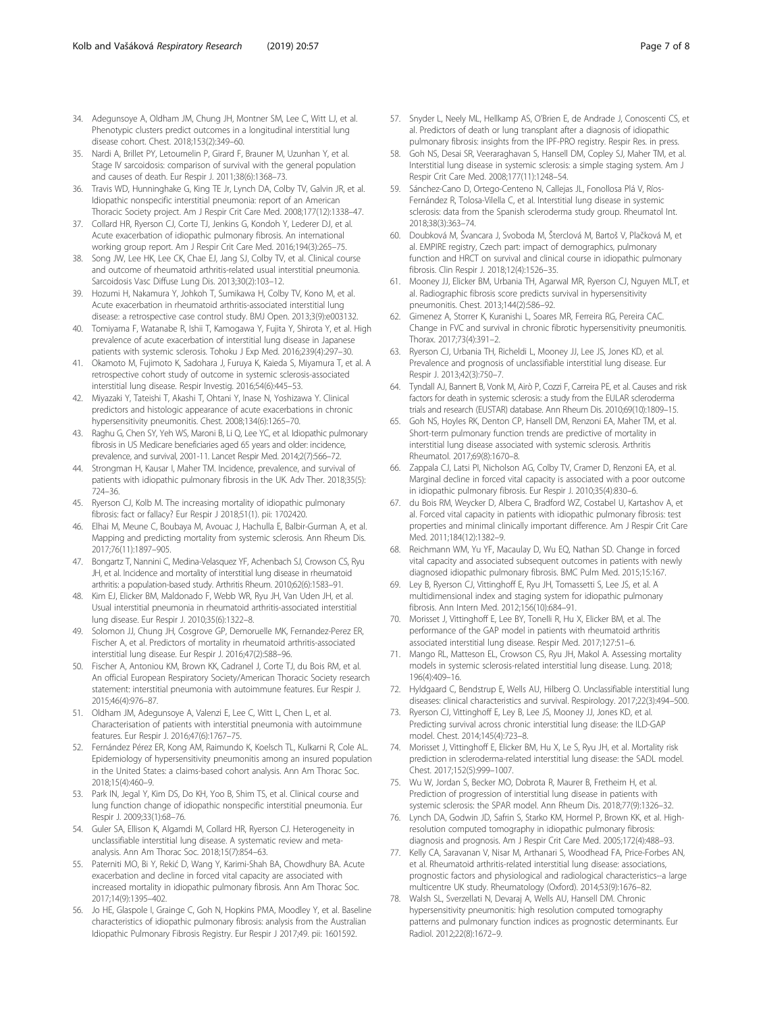- <span id="page-6-0"></span>34. Adegunsoye A, Oldham JM, Chung JH, Montner SM, Lee C, Witt LJ, et al. Phenotypic clusters predict outcomes in a longitudinal interstitial lung disease cohort. Chest. 2018;153(2):349–60.
- 35. Nardi A, Brillet PY, Letoumelin P, Girard F, Brauner M, Uzunhan Y, et al. Stage IV sarcoidosis: comparison of survival with the general population and causes of death. Eur Respir J. 2011;38(6):1368–73.
- 36. Travis WD, Hunninghake G, King TE Jr, Lynch DA, Colby TV, Galvin JR, et al. Idiopathic nonspecific interstitial pneumonia: report of an American Thoracic Society project. Am J Respir Crit Care Med. 2008;177(12):1338–47.
- 37. Collard HR, Ryerson CJ, Corte TJ, Jenkins G, Kondoh Y, Lederer DJ, et al. Acute exacerbation of idiopathic pulmonary fibrosis. An international working group report. Am J Respir Crit Care Med. 2016;194(3):265–75.
- 38. Song JW, Lee HK, Lee CK, Chae EJ, Jang SJ, Colby TV, et al. Clinical course and outcome of rheumatoid arthritis-related usual interstitial pneumonia. Sarcoidosis Vasc Diffuse Lung Dis. 2013;30(2):103–12.
- 39. Hozumi H, Nakamura Y, Johkoh T, Sumikawa H, Colby TV, Kono M, et al. Acute exacerbation in rheumatoid arthritis-associated interstitial lung disease: a retrospective case control study. BMJ Open. 2013;3(9):e003132.
- 40. Tomiyama F, Watanabe R, Ishii T, Kamogawa Y, Fujita Y, Shirota Y, et al. High prevalence of acute exacerbation of interstitial lung disease in Japanese patients with systemic sclerosis. Tohoku J Exp Med. 2016;239(4):297–30.
- 41. Okamoto M, Fujimoto K, Sadohara J, Furuya K, Kaieda S, Miyamura T, et al. A retrospective cohort study of outcome in systemic sclerosis-associated interstitial lung disease. Respir Investig. 2016;54(6):445–53.
- 42. Miyazaki Y, Tateishi T, Akashi T, Ohtani Y, Inase N, Yoshizawa Y. Clinical predictors and histologic appearance of acute exacerbations in chronic hypersensitivity pneumonitis. Chest. 2008;134(6):1265–70.
- 43. Raghu G, Chen SY, Yeh WS, Maroni B, Li Q, Lee YC, et al. Idiopathic pulmonary fibrosis in US Medicare beneficiaries aged 65 years and older: incidence, prevalence, and survival, 2001-11. Lancet Respir Med. 2014;2(7):566–72.
- 44. Strongman H, Kausar I, Maher TM. Incidence, prevalence, and survival of patients with idiopathic pulmonary fibrosis in the UK. Adv Ther. 2018;35(5): 724–36.
- 45. Ryerson CJ, Kolb M. The increasing mortality of idiopathic pulmonary fibrosis: fact or fallacy? Eur Respir J 2018;51(1). pii: 1702420.
- 46. Elhai M, Meune C, Boubaya M, Avouac J, Hachulla E, Balbir-Gurman A, et al. Mapping and predicting mortality from systemic sclerosis. Ann Rheum Dis. 2017;76(11):1897–905.
- 47. Bongartz T, Nannini C, Medina-Velasquez YF, Achenbach SJ, Crowson CS, Ryu JH, et al. Incidence and mortality of interstitial lung disease in rheumatoid arthritis: a population-based study. Arthritis Rheum. 2010;62(6):1583–91.
- 48. Kim EJ, Elicker BM, Maldonado F, Webb WR, Ryu JH, Van Uden JH, et al. Usual interstitial pneumonia in rheumatoid arthritis-associated interstitial lung disease. Eur Respir J. 2010;35(6):1322–8.
- 49. Solomon JJ, Chung JH, Cosgrove GP, Demoruelle MK, Fernandez-Perez ER, Fischer A, et al. Predictors of mortality in rheumatoid arthritis-associated interstitial lung disease. Eur Respir J. 2016;47(2):588–96.
- 50. Fischer A, Antoniou KM, Brown KK, Cadranel J, Corte TJ, du Bois RM, et al. An official European Respiratory Society/American Thoracic Society research statement: interstitial pneumonia with autoimmune features. Eur Respir J. 2015;46(4):976–87.
- 51. Oldham JM, Adegunsoye A, Valenzi E, Lee C, Witt L, Chen L, et al. Characterisation of patients with interstitial pneumonia with autoimmune features. Eur Respir J. 2016;47(6):1767–75.
- 52. Fernández Pérez ER, Kong AM, Raimundo K, Koelsch TL, Kulkarni R, Cole AL. Epidemiology of hypersensitivity pneumonitis among an insured population in the United States: a claims-based cohort analysis. Ann Am Thorac Soc. 2018;15(4):460–9.
- 53. Park IN, Jegal Y, Kim DS, Do KH, Yoo B, Shim TS, et al. Clinical course and lung function change of idiopathic nonspecific interstitial pneumonia. Eur Respir J. 2009;33(1):68–76.
- 54. Guler SA, Ellison K, Algamdi M, Collard HR, Ryerson CJ. Heterogeneity in unclassifiable interstitial lung disease. A systematic review and metaanalysis. Ann Am Thorac Soc. 2018;15(7):854–63.
- 55. Paterniti MO, Bi Y, Rekić D, Wang Y, Karimi-Shah BA, Chowdhury BA. Acute exacerbation and decline in forced vital capacity are associated with increased mortality in idiopathic pulmonary fibrosis. Ann Am Thorac Soc. 2017;14(9):1395–402.
- 56. Jo HE, Glaspole I, Grainge C, Goh N, Hopkins PMA, Moodley Y, et al. Baseline characteristics of idiopathic pulmonary fibrosis: analysis from the Australian Idiopathic Pulmonary Fibrosis Registry. Eur Respir J 2017;49. pii: 1601592.
- 57. Snyder L, Neely ML, Hellkamp AS, O'Brien E, de Andrade J, Conoscenti CS, et al. Predictors of death or lung transplant after a diagnosis of idiopathic pulmonary fibrosis: insights from the IPF-PRO registry. Respir Res. in press.
- 58. Goh NS, Desai SR, Veeraraghavan S, Hansell DM, Copley SJ, Maher TM, et al. Interstitial lung disease in systemic sclerosis: a simple staging system. Am J Respir Crit Care Med. 2008;177(11):1248–54.
- Sánchez-Cano D, Ortego-Centeno N, Callejas JL, Fonollosa Plá V, Ríos-Fernández R, Tolosa-Vilella C, et al. Interstitial lung disease in systemic sclerosis: data from the Spanish scleroderma study group. Rheumatol Int. 2018;38(3):363–74.
- 60. Doubková M, Švancara J, Svoboda M, Šterclová M, Bartoš V, Plačková M, et al. EMPIRE registry, Czech part: impact of demographics, pulmonary function and HRCT on survival and clinical course in idiopathic pulmonary fibrosis. Clin Respir J. 2018;12(4):1526–35.
- 61. Mooney JJ, Elicker BM, Urbania TH, Agarwal MR, Ryerson CJ, Nguyen MLT, et al. Radiographic fibrosis score predicts survival in hypersensitivity pneumonitis. Chest. 2013;144(2):586–92.
- 62. Gimenez A, Storrer K, Kuranishi L, Soares MR, Ferreira RG, Pereira CAC. Change in FVC and survival in chronic fibrotic hypersensitivity pneumonitis. Thorax. 2017;73(4):391–2.
- 63. Ryerson CJ, Urbania TH, Richeldi L, Mooney JJ, Lee JS, Jones KD, et al. Prevalence and prognosis of unclassifiable interstitial lung disease. Eur Respir J. 2013;42(3):750–7.
- 64. Tyndall AJ, Bannert B, Vonk M, Airò P, Cozzi F, Carreira PE, et al. Causes and risk factors for death in systemic sclerosis: a study from the EULAR scleroderma trials and research (EUSTAR) database. Ann Rheum Dis. 2010;69(10):1809–15.
- 65. Goh NS, Hoyles RK, Denton CP, Hansell DM, Renzoni EA, Maher TM, et al. Short-term pulmonary function trends are predictive of mortality in interstitial lung disease associated with systemic sclerosis. Arthritis Rheumatol. 2017;69(8):1670–8.
- 66. Zappala CJ, Latsi PI, Nicholson AG, Colby TV, Cramer D, Renzoni EA, et al. Marginal decline in forced vital capacity is associated with a poor outcome in idiopathic pulmonary fibrosis. Eur Respir J. 2010;35(4):830–6.
- 67. du Bois RM, Weycker D, Albera C, Bradford WZ, Costabel U, Kartashov A, et al. Forced vital capacity in patients with idiopathic pulmonary fibrosis: test properties and minimal clinically important difference. Am J Respir Crit Care Med. 2011;184(12):1382–9.
- 68. Reichmann WM, Yu YF, Macaulay D, Wu EQ, Nathan SD. Change in forced vital capacity and associated subsequent outcomes in patients with newly diagnosed idiopathic pulmonary fibrosis. BMC Pulm Med. 2015;15:167.
- 69. Ley B, Ryerson CJ, Vittinghoff E, Ryu JH, Tomassetti S, Lee JS, et al. A multidimensional index and staging system for idiopathic pulmonary fibrosis. Ann Intern Med. 2012;156(10):684–91.
- 70. Morisset J, Vittinghoff E, Lee BY, Tonelli R, Hu X, Elicker BM, et al. The performance of the GAP model in patients with rheumatoid arthritis associated interstitial lung disease. Respir Med. 2017;127:51–6.
- 71. Mango RL, Matteson EL, Crowson CS, Ryu JH, Makol A. Assessing mortality models in systemic sclerosis-related interstitial lung disease. Lung. 2018; 196(4):409–16.
- 72. Hyldgaard C, Bendstrup E, Wells AU, Hilberg O. Unclassifiable interstitial lung diseases: clinical characteristics and survival. Respirology. 2017;22(3):494–500.
- 73. Ryerson CJ, Vittinghoff E, Ley B, Lee JS, Mooney JJ, Jones KD, et al. Predicting survival across chronic interstitial lung disease: the ILD-GAP model. Chest. 2014;145(4):723–8.
- 74. Morisset J, Vittinghoff E, Elicker BM, Hu X, Le S, Ryu JH, et al. Mortality risk prediction in scleroderma-related interstitial lung disease: the SADL model. Chest. 2017;152(5):999–1007.
- 75. Wu W, Jordan S, Becker MO, Dobrota R, Maurer B, Fretheim H, et al. Prediction of progression of interstitial lung disease in patients with systemic sclerosis: the SPAR model. Ann Rheum Dis. 2018;77(9):1326–32.
- 76. Lynch DA, Godwin JD, Safrin S, Starko KM, Hormel P, Brown KK, et al. Highresolution computed tomography in idiopathic pulmonary fibrosis: diagnosis and prognosis. Am J Respir Crit Care Med. 2005;172(4):488–93.
- 77. Kelly CA, Saravanan V, Nisar M, Arthanari S, Woodhead FA, Price-Forbes AN, et al. Rheumatoid arthritis-related interstitial lung disease: associations, prognostic factors and physiological and radiological characteristics--a large multicentre UK study. Rheumatology (Oxford). 2014;53(9):1676–82.
- 78. Walsh SL, Sverzellati N, Devaraj A, Wells AU, Hansell DM. Chronic hypersensitivity pneumonitis: high resolution computed tomography patterns and pulmonary function indices as prognostic determinants. Eur Radiol. 2012;22(8):1672–9.